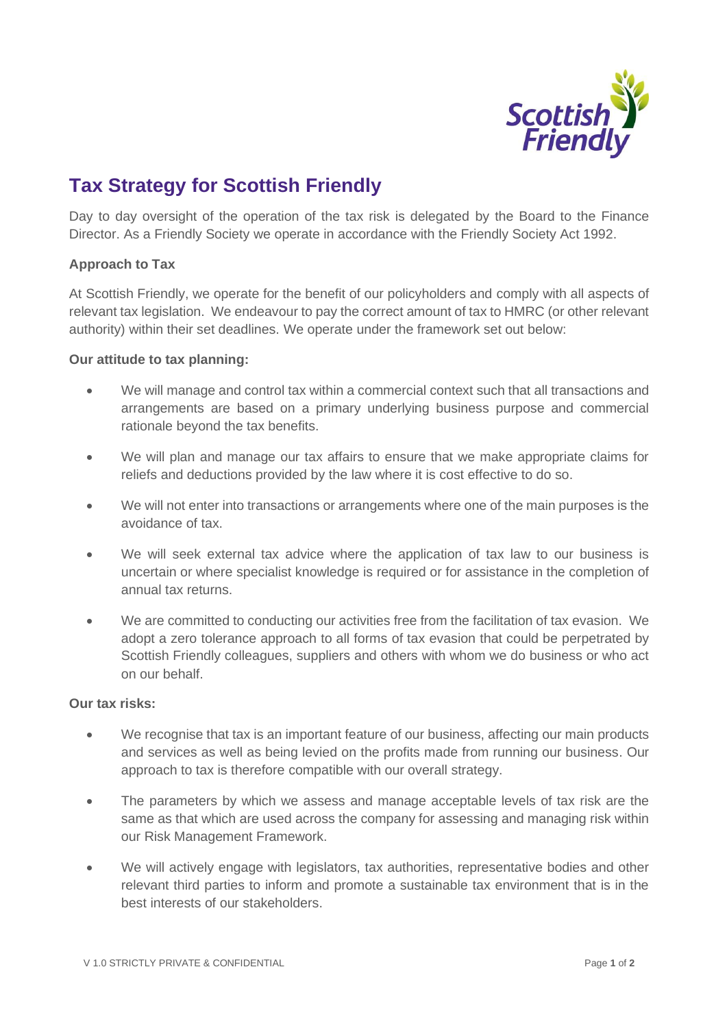

# **Tax Strategy for Scottish Friendly**

Day to day oversight of the operation of the tax risk is delegated by the Board to the Finance Director. As a Friendly Society we operate in accordance with the Friendly Society Act 1992.

## **Approach to Tax**

At Scottish Friendly, we operate for the benefit of our policyholders and comply with all aspects of relevant tax legislation. We endeavour to pay the correct amount of tax to HMRC (or other relevant authority) within their set deadlines. We operate under the framework set out below:

#### **Our attitude to tax planning:**

- We will manage and control tax within a commercial context such that all transactions and arrangements are based on a primary underlying business purpose and commercial rationale beyond the tax benefits.
- We will plan and manage our tax affairs to ensure that we make appropriate claims for reliefs and deductions provided by the law where it is cost effective to do so.
- We will not enter into transactions or arrangements where one of the main purposes is the avoidance of tax.
- We will seek external tax advice where the application of tax law to our business is uncertain or where specialist knowledge is required or for assistance in the completion of annual tax returns.
- We are committed to conducting our activities free from the facilitation of tax evasion. We adopt a zero tolerance approach to all forms of tax evasion that could be perpetrated by Scottish Friendly colleagues, suppliers and others with whom we do business or who act on our behalf.

## **Our tax risks:**

- We recognise that tax is an important feature of our business, affecting our main products and services as well as being levied on the profits made from running our business. Our approach to tax is therefore compatible with our overall strategy.
- The parameters by which we assess and manage acceptable levels of tax risk are the same as that which are used across the company for assessing and managing risk within our Risk Management Framework.
- We will actively engage with legislators, tax authorities, representative bodies and other relevant third parties to inform and promote a sustainable tax environment that is in the best interests of our stakeholders.